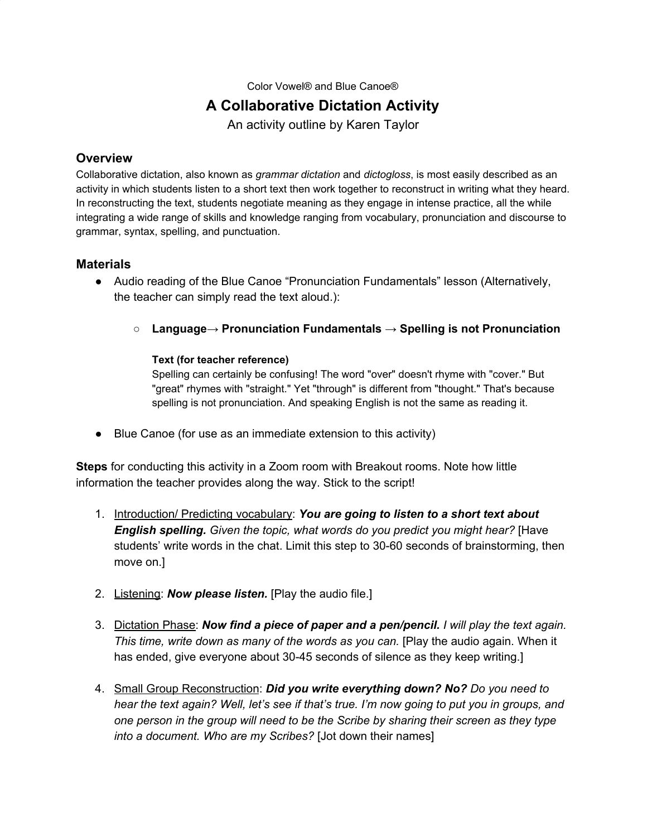Color Vowel® and Blue Canoe®

## **A Collaborative Dictation Activity**

An activity outline by Karen Taylor

## **Overview**

Collaborative dictation, also known as *grammar dictation* and *dictogloss*, is most easily described as an activity in which students listen to a short text then work together to reconstruct in writing what they heard. In reconstructing the text, students negotiate meaning as they engage in intense practice, all the while integrating a wide range of skills and knowledge ranging from vocabulary, pronunciation and discourse to grammar, syntax, spelling, and punctuation.

## **Materials**

- Audio reading of the Blue Canoe "Pronunciation Fundamentals" lesson (Alternatively, the teacher can simply read the text aloud.):
	- **Language→ Pronunciation Fundamentals → Spelling is not Pronunciation**

## **Text (for teacher reference)**

Spelling can certainly be confusing! The word "over" doesn't rhyme with "cover." But "great" rhymes with "straight." Yet "through" is different from "thought." That's because spelling is not pronunciation. And speaking English is not the same as reading it.

● Blue Canoe (for use as an immediate extension to this activity)

**Steps** for conducting this activity in a Zoom room with Breakout rooms. Note how little information the teacher provides along the way. Stick to the script!

- 1. Introduction/ Predicting vocabulary: *You are going to listen to a short text about English spelling. Given the topic, what words do you predict you might hear?* [Have students' write words in the chat. Limit this step to 30-60 seconds of brainstorming, then move on.]
- 2. Listening: *Now please listen.* [Play the audio file.]
- 3. Dictation Phase: *Now find a piece of paper and a pen/pencil. I will play the text again. This time, write down as many of the words as you can.* [Play the audio again. When it has ended, give everyone about 30-45 seconds of silence as they keep writing.]
- 4. Small Group Reconstruction: *Did you write everything down? No? Do you need to* hear the text again? Well, let's see if that's true. I'm now going to put you in groups, and *one person in the group will need to be the Scribe by sharing their screen as they type into a document. Who are my Scribes?* [Jot down their names]